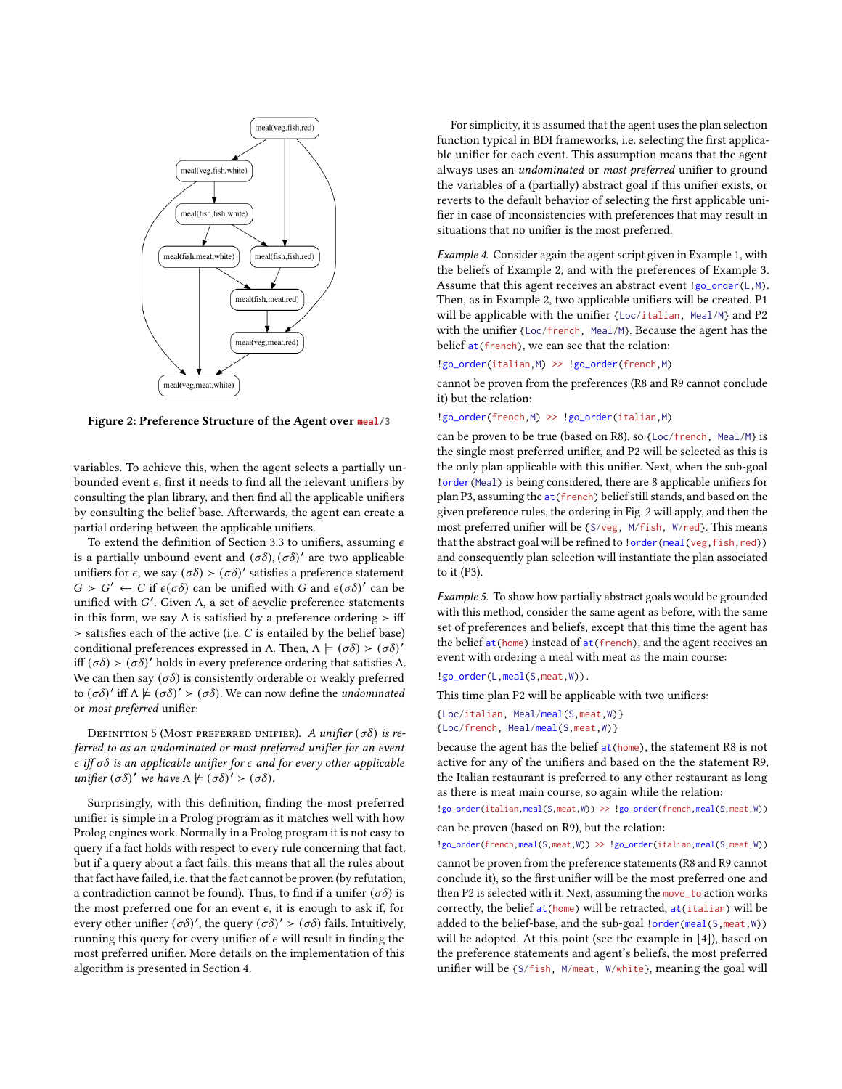

Figure 2: Preference Structure of the Agent over **meal/3**

variables. To achieve this, when the agent selects a partially unbounded event  $\epsilon$ , first it needs to find all the relevant unifiers by consulting the plan library, and then find all the applicable unifiers by consulting the belief base. Afterwards, the agent can create a partial ordering between the applicable unifiers.

To extend the definition of Section 3.3 to unifiers, assuming  $\epsilon$ is a partially unbound event and  $(\sigma\delta)$ ,  $(\sigma\delta)'$  are two applicable unifiers for  $\epsilon$ , we say  $(\sigma \delta) > (\sigma \delta)'$  satisfies a preference statement  $G > G'$  ← *C* if  $ε(σδ)$  can be unified with *G* and  $ε(σδ)'$  can be unified with  $G'$ . Given  $\Lambda$ , a set of acyclic preference statements in this form, we say  $\Lambda$  is satisfied by a preference ordering  $>$  iff  $>$  satisfies each of the active (i.e.  $C$  is entailed by the belief base) conditional preferences expressed in Λ. Then,  $\Lambda \models (\sigma \delta) > (\sigma \delta)'$ iff  $(σδ) > (σδ)'$  holds in every preference ordering that satisfies Λ. We can then say  $(\sigma\delta)$  is consistently orderable or weakly preferred to  $(σδ)'$  iff  $Λ \not\models (σδ)' > (σδ)$ . We can now define the *undominated* or most preferred unifier:

DEFINITION 5 (MOST PREFERRED UNIFIER). A unifier  $(\sigma \delta)$  is referred to as an undominated or most preferred unifier for an event  $\epsilon$  iff  $\sigma\delta$  is an applicable unifier for  $\epsilon$  and for every other applicable unifier  $(\sigma \delta)'$  we have  $\Lambda \not\models (\sigma \delta)' > (\sigma \delta)$ .

Surprisingly, with this definition, finding the most preferred unifier is simple in a Prolog program as it matches well with how Prolog engines work. Normally in a Prolog program it is not easy to query if a fact holds with respect to every rule concerning that fact, but if a query about a fact fails, this means that all the rules about that fact have failed, i.e. that the fact cannot be proven (by refutation, a contradiction cannot be found). Thus, to find if a unifer  $(\sigma \delta)$  is the most preferred one for an event  $\epsilon$ , it is enough to ask if, for every other unifier  $(\sigma \delta)'$ , the query  $(\sigma \delta)' > (\sigma \delta)$  fails. Intuitively, running this query for every unifier of  $\epsilon$  will result in finding the most preferred unifier. More details on the implementation of this algorithm is presented in Section 4.

For simplicity, it is assumed that the agent uses the plan selection function typical in BDI frameworks, i.e. selecting the first applicable unifier for each event. This assumption means that the agent always uses an undominated or most preferred unifier to ground the variables of a (partially) abstract goal if this unifier exists, or reverts to the default behavior of selecting the first applicable unifier in case of inconsistencies with preferences that may result in situations that no unifier is the most preferred.

Example 4. Consider again the agent script given in Example 1, with the beliefs of Example 2, and with the preferences of Example 3. Assume that this agent receives an abstract event !go\_order(L,M). Then, as in Example 2, two applicable unifiers will be created. P1 will be applicable with the unifier {Loc/italian, Meal/M} and P2 with the unifier {Loc/french, Meal/M}. Because the agent has the belief at(french), we can see that the relation:

!go\_order(italian,M) >> !go\_order(french,M)

cannot be proven from the preferences (R8 and R9 cannot conclude it) but the relation:

!go\_order(french,M) >> !go\_order(italian,M)

can be proven to be true (based on R8), so {Loc/french, Meal/M} is the single most preferred unifier, and P2 will be selected as this is the only plan applicable with this unifier. Next, when the sub-goal !order(Meal) is being considered, there are 8 applicable unifiers for plan P3, assuming the at(french) belief still stands, and based on the given preference rules, the ordering in Fig. 2 will apply, and then the most preferred unifier will be {S/veg, M/fish, W/red}. This means that the abstract goal will be refined to !order(meal(veg,fish,red)) and consequently plan selection will instantiate the plan associated to it (P3).

Example 5. To show how partially abstract goals would be grounded with this method, consider the same agent as before, with the same set of preferences and beliefs, except that this time the agent has the belief  $at(home)$  instead of  $at(french)$ , and the agent receives an event with ordering a meal with meat as the main course:

!go\_order(L,meal(S,meat,W)).

This time plan P2 will be applicable with two unifiers:

{Loc/italian, Meal/meal(S,meat,W)} {Loc/french, Meal/meal(S,meat,W)}

because the agent has the belief at(home), the statement R8 is not active for any of the unifiers and based on the the statement R9, the Italian restaurant is preferred to any other restaurant as long as there is meat main course, so again while the relation:

!go\_order(italian,meal(S,meat,W)) >> !go\_order(french,meal(S,meat,W))

can be proven (based on R9), but the relation:

!go\_order(french,meal(S,meat,W)) >> !go\_order(italian,meal(S,meat,W))

cannot be proven from the preference statements (R8 and R9 cannot conclude it), so the first unifier will be the most preferred one and then P2 is selected with it. Next, assuming the move\_to action works correctly, the belief at (home) will be retracted, at (italian) will be added to the belief-base, and the sub-goal !order(meal(S,meat,W)) will be adopted. At this point (see the example in [4]), based on the preference statements and agent's beliefs, the most preferred unifier will be {S/fish, M/meat, W/white}, meaning the goal will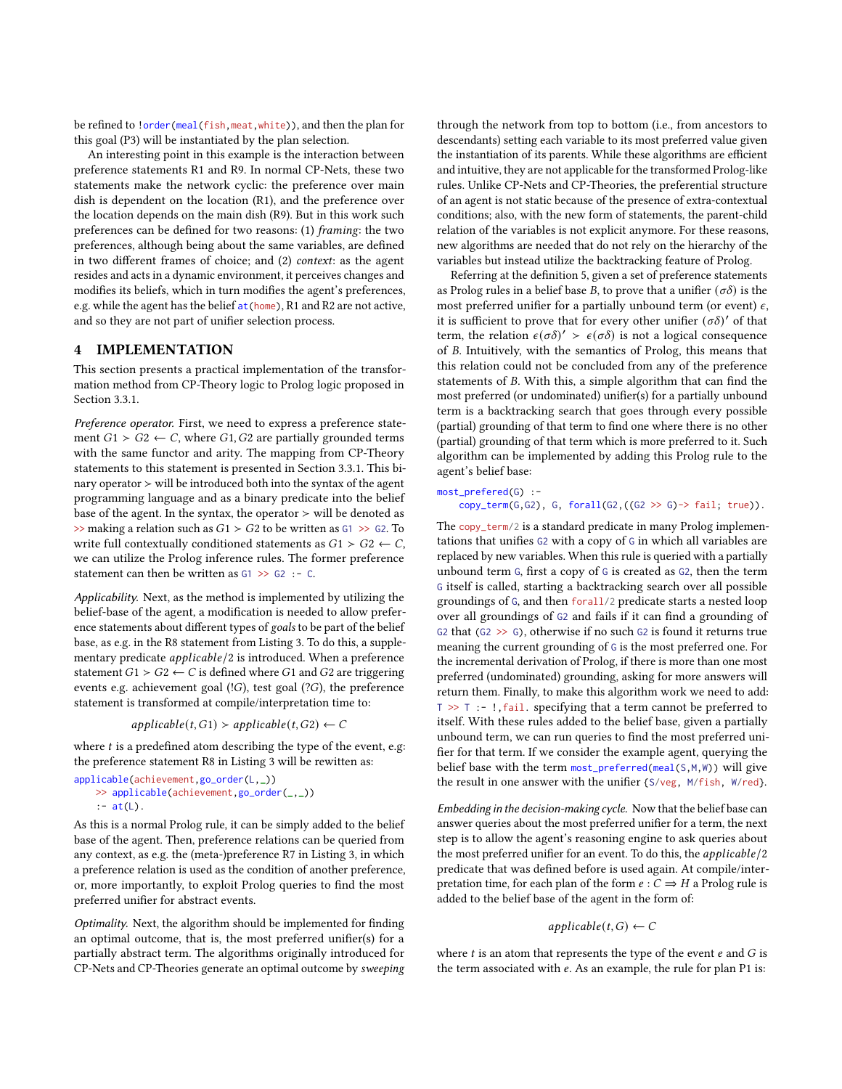be refined to !order(meal(fish,meat,white)), and then the plan for this goal (P3) will be instantiated by the plan selection.

An interesting point in this example is the interaction between preference statements R1 and R9. In normal CP-Nets, these two statements make the network cyclic: the preference over main dish is dependent on the location (R1), and the preference over the location depends on the main dish (R9). But in this work such preferences can be defined for two reasons: (1) framing: the two preferences, although being about the same variables, are defined in two different frames of choice; and (2) context: as the agent resides and acts in a dynamic environment, it perceives changes and modifies its beliefs, which in turn modifies the agent's preferences, e.g. while the agent has the belief at (home), R1 and R2 are not active, and so they are not part of unifier selection process.

# 4 IMPLEMENTATION

This section presents a practical implementation of the transformation method from CP-Theory logic to Prolog logic proposed in Section 3.3.1.

Preference operator. First, we need to express a preference statement  $G1$  ≻  $G2$  ← C, where  $G1, G2$  are partially grounded terms with the same functor and arity. The mapping from CP-Theory statements to this statement is presented in Section 3.3.1. This binary operator ≻ will be introduced both into the syntax of the agent programming language and as a binary predicate into the belief base of the agent. In the syntax, the operator  $>$  will be denoted as  $\gg$  making a relation such as  $G1 > G2$  to be written as  $G1 \gg G2$ . To write full contextually conditioned statements as  $G1 > G2 \leftarrow C$ , we can utilize the Prolog inference rules. The former preference statement can then be written as G1 >> G2 :- C.

Applicability. Next, as the method is implemented by utilizing the belief-base of the agent, a modification is needed to allow preference statements about different types of goals to be part of the belief base, as e.g. in the R8 statement from Listing 3. To do this, a supplementary predicate  $appliedble/2$  is introduced. When a preference statement  $G1 > G2 \leftarrow C$  is defined where  $G1$  and  $G2$  are triggering events e.g. achievement goal (! $G$ ), test goal (? $G$ ), the preference statement is transformed at compile/interpretation time to:

$$
applicable(t, G1) > applicable(t, G2) \leftarrow C
$$

where  $t$  is a predefined atom describing the type of the event, e.g: the preference statement R8 in Listing 3 will be rewitten as:

```
applicable(achievement,go_order(L,_))
```

```
>> applicable(achievement,go_order(_,_))
```

```
: -at(L).
```
As this is a normal Prolog rule, it can be simply added to the belief base of the agent. Then, preference relations can be queried from any context, as e.g. the (meta-)preference R7 in Listing 3, in which a preference relation is used as the condition of another preference, or, more importantly, to exploit Prolog queries to find the most preferred unifier for abstract events.

Optimality. Next, the algorithm should be implemented for finding an optimal outcome, that is, the most preferred unifier(s) for a partially abstract term. The algorithms originally introduced for CP-Nets and CP-Theories generate an optimal outcome by sweeping

through the network from top to bottom (i.e., from ancestors to descendants) setting each variable to its most preferred value given the instantiation of its parents. While these algorithms are efficient and intuitive, they are not applicable for the transformed Prolog-like rules. Unlike CP-Nets and CP-Theories, the preferential structure of an agent is not static because of the presence of extra-contextual conditions; also, with the new form of statements, the parent-child relation of the variables is not explicit anymore. For these reasons, new algorithms are needed that do not rely on the hierarchy of the variables but instead utilize the backtracking feature of Prolog.

Referring at the definition 5, given a set of preference statements as Prolog rules in a belief base B, to prove that a unifier  $(\sigma \delta)$  is the most preferred unifier for a partially unbound term (or event)  $\epsilon$ , it is sufficient to prove that for every other unifier  $(\sigma \delta)'$  of that term, the relation  $\epsilon(\sigma\delta)' > \epsilon(\sigma\delta)$  is not a logical consequence of *B*. Intuitively, with the semantics of Prolog, this means that this relation could not be concluded from any of the preference statements of  $B$ . With this, a simple algorithm that can find the most preferred (or undominated) unifier(s) for a partially unbound term is a backtracking search that goes through every possible (partial) grounding of that term to find one where there is no other (partial) grounding of that term which is more preferred to it. Such algorithm can be implemented by adding this Prolog rule to the agent's belief base:

#### most\_prefered(G) :-

## $copy\_term(G,G2)$ , G,  $forall(G2,((G2 \gg G)\rightarrow fail; true))$ .

The copy\_term/2 is a standard predicate in many Prolog implementations that unifies G2 with a copy of G in which all variables are replaced by new variables. When this rule is queried with a partially unbound term G, first a copy of G is created as G2, then the term G itself is called, starting a backtracking search over all possible groundings of G, and then forall/2 predicate starts a nested loop over all groundings of G2 and fails if it can find a grounding of G2 that  $(G2 \gg G)$ , otherwise if no such G2 is found it returns true meaning the current grounding of G is the most preferred one. For the incremental derivation of Prolog, if there is more than one most preferred (undominated) grounding, asking for more answers will return them. Finally, to make this algorithm work we need to add:  $T \gg T$  :- !, fail. specifying that a term cannot be preferred to itself. With these rules added to the belief base, given a partially unbound term, we can run queries to find the most preferred unifier for that term. If we consider the example agent, querying the belief base with the term most\_preferred(meal(S,M,W)) will give the result in one answer with the unifier {S/veg, M/fish, W/red}.

Embedding in the decision-making cycle. Now that the belief base can answer queries about the most preferred unifier for a term, the next step is to allow the agent's reasoning engine to ask queries about the most preferred unifier for an event. To do this, the  $applicable/2$ predicate that was defined before is used again. At compile/interpretation time, for each plan of the form  $e : C \Rightarrow H$  a Prolog rule is added to the belief base of the agent in the form of:

## $applicable(t, G) \leftarrow C$

where  $t$  is an atom that represents the type of the event  $e$  and  $G$  is the term associated with  $e$ . As an example, the rule for plan P1 is: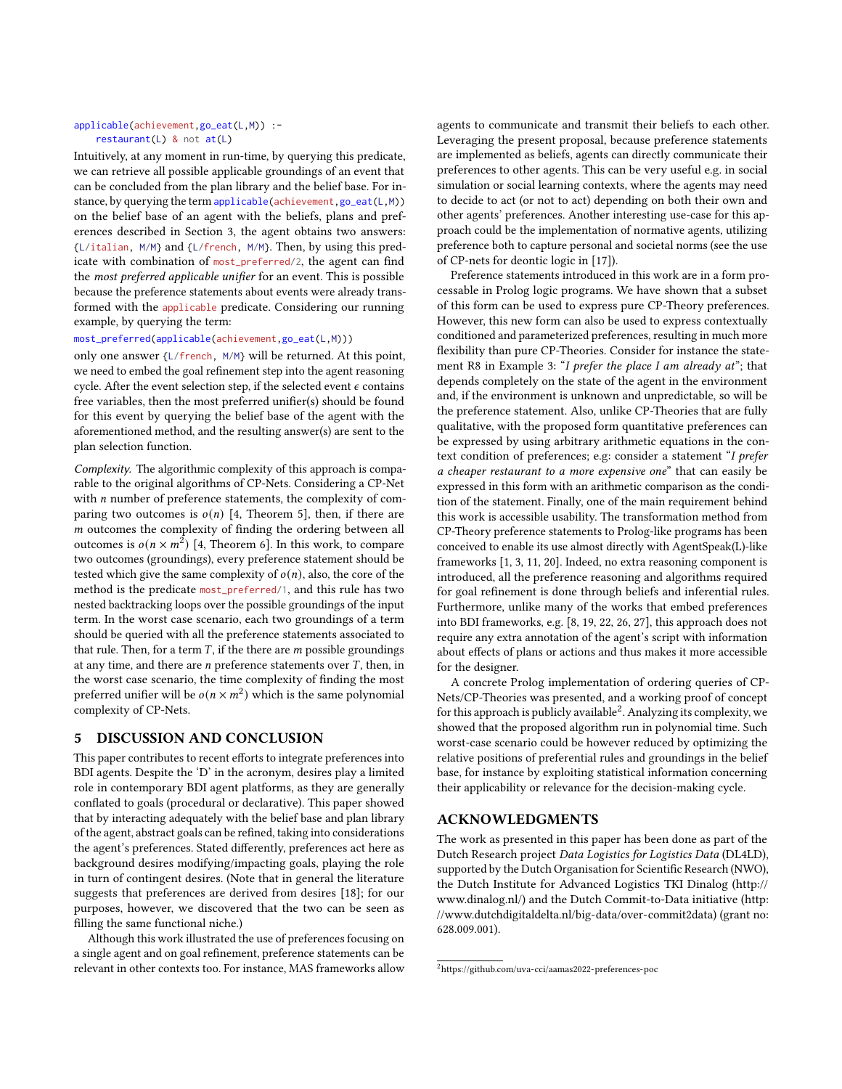#### applicable(achievement,go\_eat(L,M)) : restaurant(L) & not at(L)

Intuitively, at any moment in run-time, by querying this predicate, we can retrieve all possible applicable groundings of an event that can be concluded from the plan library and the belief base. For instance, by querying the term applicable(achievement, go\_eat(L,M)) on the belief base of an agent with the beliefs, plans and preferences described in Section 3, the agent obtains two answers: {L/italian, M/M} and {L/french, M/M}. Then, by using this predicate with combination of most\_preferred/2, the agent can find the most preferred applicable unifier for an event. This is possible because the preference statements about events were already transformed with the applicable predicate. Considering our running example, by querying the term:

# most\_preferred(applicable(achievement,go\_eat(L,M)))

only one answer {L/french, M/M} will be returned. At this point, we need to embed the goal refinement step into the agent reasoning cycle. After the event selection step, if the selected event  $\epsilon$  contains free variables, then the most preferred unifier(s) should be found for this event by querying the belief base of the agent with the aforementioned method, and the resulting answer(s) are sent to the plan selection function.

Complexity. The algorithmic complexity of this approach is comparable to the original algorithms of CP-Nets. Considering a CP-Net with  $n$  number of preference statements, the complexity of comparing two outcomes is  $o(n)$  [4, Theorem 5], then, if there are  $m$  outcomes the complexity of finding the ordering between all outcomes is  $o(n \times m^2)$  [4, Theorem 6]. In this work, to compare two outcomes (groundings), every preference statement should be tested which give the same complexity of  $o(n)$ , also, the core of the method is the predicate most\_preferred/1, and this rule has two nested backtracking loops over the possible groundings of the input term. In the worst case scenario, each two groundings of a term should be queried with all the preference statements associated to that rule. Then, for a term  $T$ , if the there are  $m$  possible groundings at any time, and there are  $n$  preference statements over  $T$ , then, in the worst case scenario, the time complexity of finding the most preferred unifier will be  $o(n \times m^2)$  which is the same polynomial complexity of CP-Nets.

## 5 DISCUSSION AND CONCLUSION

This paper contributes to recent efforts to integrate preferences into BDI agents. Despite the 'D' in the acronym, desires play a limited role in contemporary BDI agent platforms, as they are generally conflated to goals (procedural or declarative). This paper showed that by interacting adequately with the belief base and plan library of the agent, abstract goals can be refined, taking into considerations the agent's preferences. Stated differently, preferences act here as background desires modifying/impacting goals, playing the role in turn of contingent desires. (Note that in general the literature suggests that preferences are derived from desires [18]; for our purposes, however, we discovered that the two can be seen as filling the same functional niche.)

Although this work illustrated the use of preferences focusing on a single agent and on goal refinement, preference statements can be relevant in other contexts too. For instance, MAS frameworks allow

agents to communicate and transmit their beliefs to each other. Leveraging the present proposal, because preference statements are implemented as beliefs, agents can directly communicate their preferences to other agents. This can be very useful e.g. in social simulation or social learning contexts, where the agents may need to decide to act (or not to act) depending on both their own and other agents' preferences. Another interesting use-case for this approach could be the implementation of normative agents, utilizing preference both to capture personal and societal norms (see the use of CP-nets for deontic logic in [17]).

Preference statements introduced in this work are in a form processable in Prolog logic programs. We have shown that a subset of this form can be used to express pure CP-Theory preferences. However, this new form can also be used to express contextually conditioned and parameterized preferences, resulting in much more flexibility than pure CP-Theories. Consider for instance the statement R8 in Example 3: "I prefer the place I am already at"; that depends completely on the state of the agent in the environment and, if the environment is unknown and unpredictable, so will be the preference statement. Also, unlike CP-Theories that are fully qualitative, with the proposed form quantitative preferences can be expressed by using arbitrary arithmetic equations in the context condition of preferences; e.g: consider a statement "I prefer a cheaper restaurant to a more expensive one" that can easily be expressed in this form with an arithmetic comparison as the condition of the statement. Finally, one of the main requirement behind this work is accessible usability. The transformation method from CP-Theory preference statements to Prolog-like programs has been conceived to enable its use almost directly with AgentSpeak(L)-like frameworks [1, 3, 11, 20]. Indeed, no extra reasoning component is introduced, all the preference reasoning and algorithms required for goal refinement is done through beliefs and inferential rules. Furthermore, unlike many of the works that embed preferences into BDI frameworks, e.g. [8, 19, 22, 26, 27], this approach does not require any extra annotation of the agent's script with information about effects of plans or actions and thus makes it more accessible for the designer.

A concrete Prolog implementation of ordering queries of CP-Nets/CP-Theories was presented, and a working proof of concept for this approach is publicly available $^2$ . Analyzing its complexity, we showed that the proposed algorithm run in polynomial time. Such worst-case scenario could be however reduced by optimizing the relative positions of preferential rules and groundings in the belief base, for instance by exploiting statistical information concerning their applicability or relevance for the decision-making cycle.

## ACKNOWLEDGMENTS

The work as presented in this paper has been done as part of the Dutch Research project Data Logistics for Logistics Data (DL4LD), supported by the Dutch Organisation for Scientific Research (NWO), the Dutch Institute for Advanced Logistics TKI Dinalog (http:// www.dinalog.nl/) and the Dutch Commit-to-Data initiative (http: //www.dutchdigitaldelta.nl/big-data/over-commit2data) (grant no: 628.009.001).

<sup>2</sup>https://github.com/uva-cci/aamas2022-preferences-poc